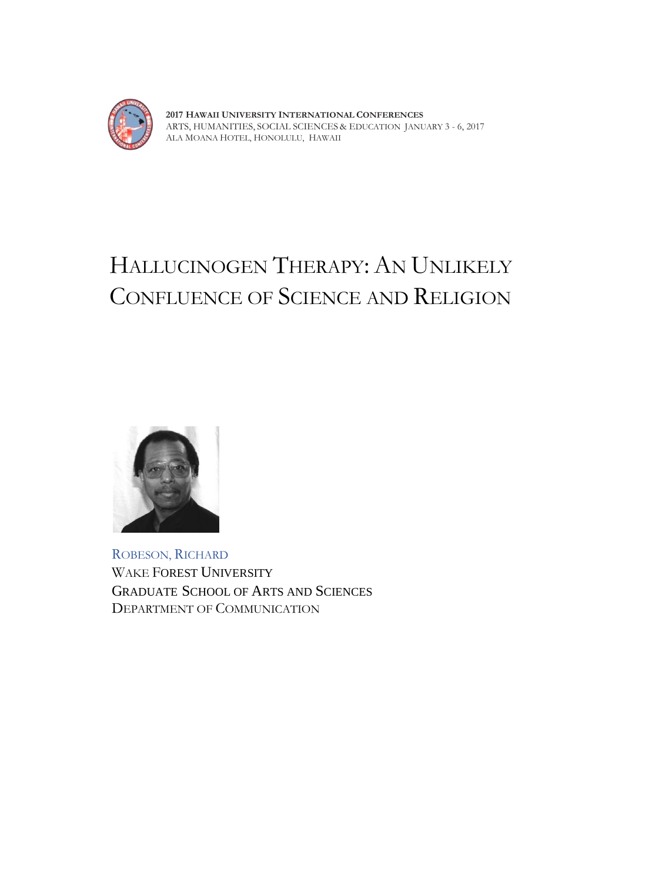

**2017 HAWAII UNIVERSITY INTERNATIONAL CONFERENCES**  ARTS, HUMANITIES, SOCIAL SCIENCES & EDUCATION JANUARY 3 - 6, 2017 ALA MOANA HOTEL, HONOLULU, HAWAII

## HALLUCINOGEN THERAPY: AN UNLIKELY CONFLUENCE OF SCIENCE AND RELIGION



ROBESON, RICHARD WAKE FOREST UNIVERSITY GRADUATE SCHOOL OF ARTS AND SCIENCES DEPARTMENT OF COMMUNICATION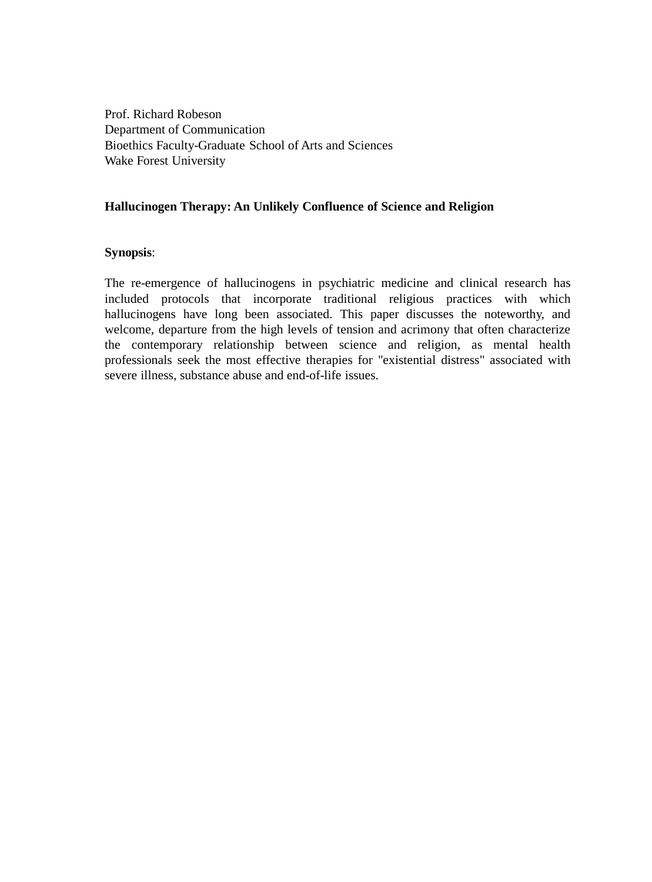Prof. Richard Robeson Department of Communication Bioethics Faculty-Graduate School of Arts and Sciences Wake Forest University

## **Hallucinogen Therapy: An Unlikely Confluence of Science and Religion**

## **Synopsis**:

The re-emergence of hallucinogens in psychiatric medicine and clinical research has included protocols that incorporate traditional religious practices with which hallucinogens have long been associated. This paper discusses the noteworthy, and welcome, departure from the high levels of tension and acrimony that often characterize the contemporary relationship between science and religion, as mental health professionals seek the most effective therapies for "existential distress" associated with severe illness, substance abuse and end-of-life issues.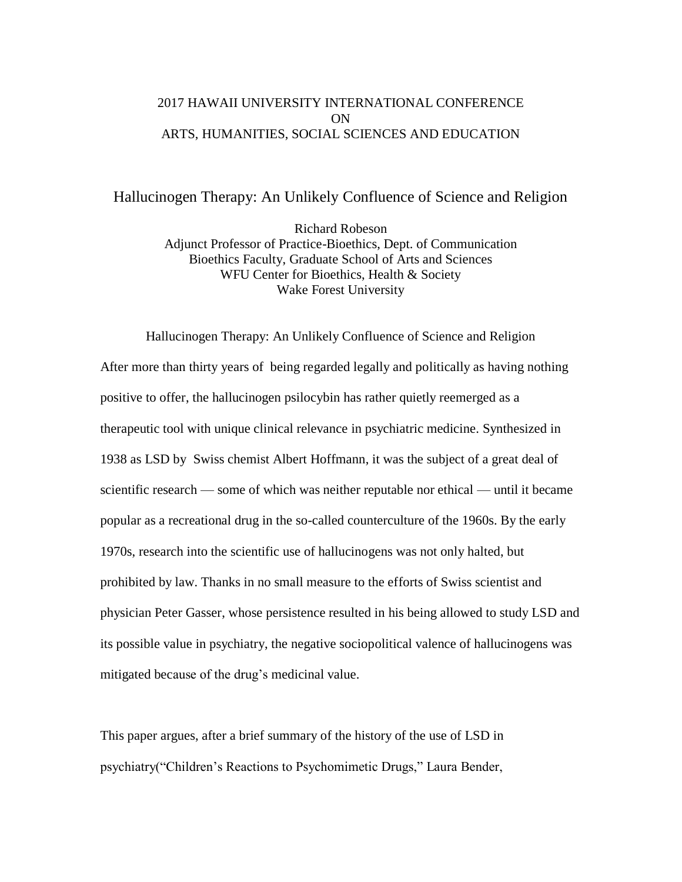## 2017 HAWAII UNIVERSITY INTERNATIONAL CONFERENCE ON ARTS, HUMANITIES, SOCIAL SCIENCES AND EDUCATION

Hallucinogen Therapy: An Unlikely Confluence of Science and Religion

Richard Robeson Adjunct Professor of Practice-Bioethics, Dept. of Communication Bioethics Faculty, Graduate School of Arts and Sciences WFU Center for Bioethics, Health & Society Wake Forest University

Hallucinogen Therapy: An Unlikely Confluence of Science and Religion After more than thirty years of being regarded legally and politically as having nothing positive to offer, the hallucinogen psilocybin has rather quietly reemerged as a therapeutic tool with unique clinical relevance in psychiatric medicine. Synthesized in 1938 as LSD by Swiss chemist Albert Hoffmann, it was the subject of a great deal of scientific research — some of which was neither reputable nor ethical — until it became popular as a recreational drug in the so-called counterculture of the 1960s. By the early 1970s, research into the scientific use of hallucinogens was not only halted, but prohibited by law. Thanks in no small measure to the efforts of Swiss scientist and physician Peter Gasser, whose persistence resulted in his being allowed to study LSD and its possible value in psychiatry, the negative sociopolitical valence of hallucinogens was mitigated because of the drug's medicinal value.

This paper argues, after a brief summary of the history of the use of LSD in psychiatry("Children's Reactions to Psychomimetic Drugs," Laura Bender,